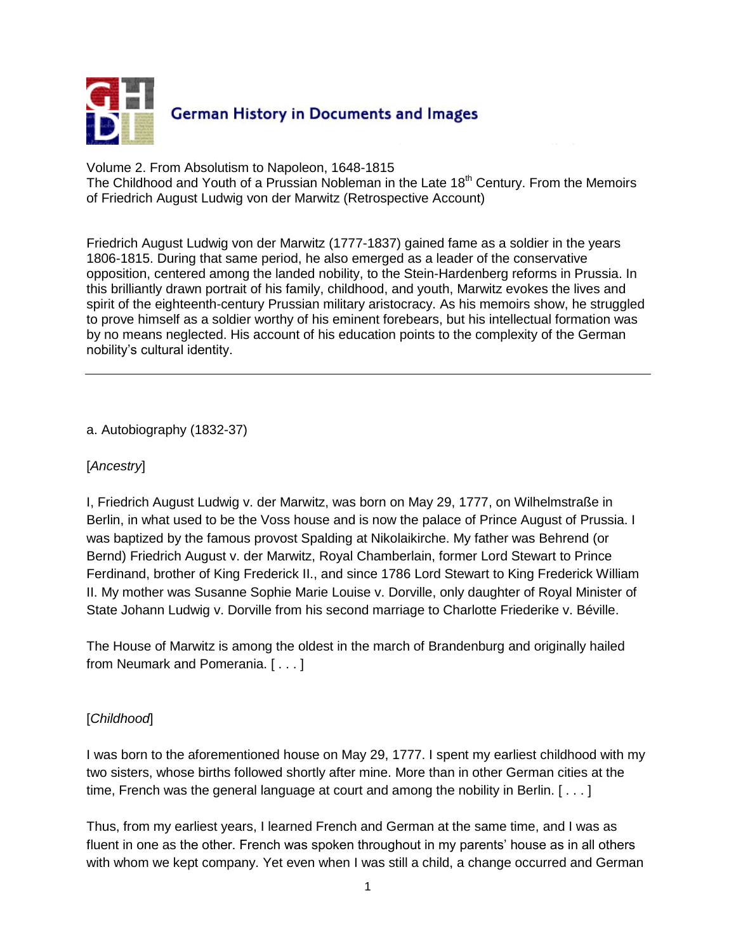

Volume 2. From Absolutism to Napoleon, 1648-1815

The Childhood and Youth of a Prussian Nobleman in the Late  $18<sup>th</sup>$  Century. From the Memoirs of Friedrich August Ludwig von der Marwitz (Retrospective Account)

Friedrich August Ludwig von der Marwitz (1777-1837) gained fame as a soldier in the years 1806-1815. During that same period, he also emerged as a leader of the conservative opposition, centered among the landed nobility, to the Stein-Hardenberg reforms in Prussia. In this brilliantly drawn portrait of his family, childhood, and youth, Marwitz evokes the lives and spirit of the eighteenth-century Prussian military aristocracy. As his memoirs show, he struggled to prove himself as a soldier worthy of his eminent forebears, but his intellectual formation was by no means neglected. His account of his education points to the complexity of the German nobility's cultural identity.

a. Autobiography (1832-37)

#### [*Ancestry*]

I, Friedrich August Ludwig v. der Marwitz, was born on May 29, 1777, on Wilhelmstraße in Berlin, in what used to be the Voss house and is now the palace of Prince August of Prussia. I was baptized by the famous provost Spalding at Nikolaikirche. My father was Behrend (or Bernd) Friedrich August v. der Marwitz, Royal Chamberlain, former Lord Stewart to Prince Ferdinand, brother of King Frederick II., and since 1786 Lord Stewart to King Frederick William II. My mother was Susanne Sophie Marie Louise v. Dorville, only daughter of Royal Minister of State Johann Ludwig v. Dorville from his second marriage to Charlotte Friederike v. Béville.

The House of Marwitz is among the oldest in the march of Brandenburg and originally hailed from Neumark and Pomerania. [ . . . ]

#### [*Childhood*]

I was born to the aforementioned house on May 29, 1777. I spent my earliest childhood with my two sisters, whose births followed shortly after mine. More than in other German cities at the time, French was the general language at court and among the nobility in Berlin. [...]

Thus, from my earliest years, I learned French and German at the same time, and I was as fluent in one as the other. French was spoken throughout in my parents' house as in all others with whom we kept company. Yet even when I was still a child, a change occurred and German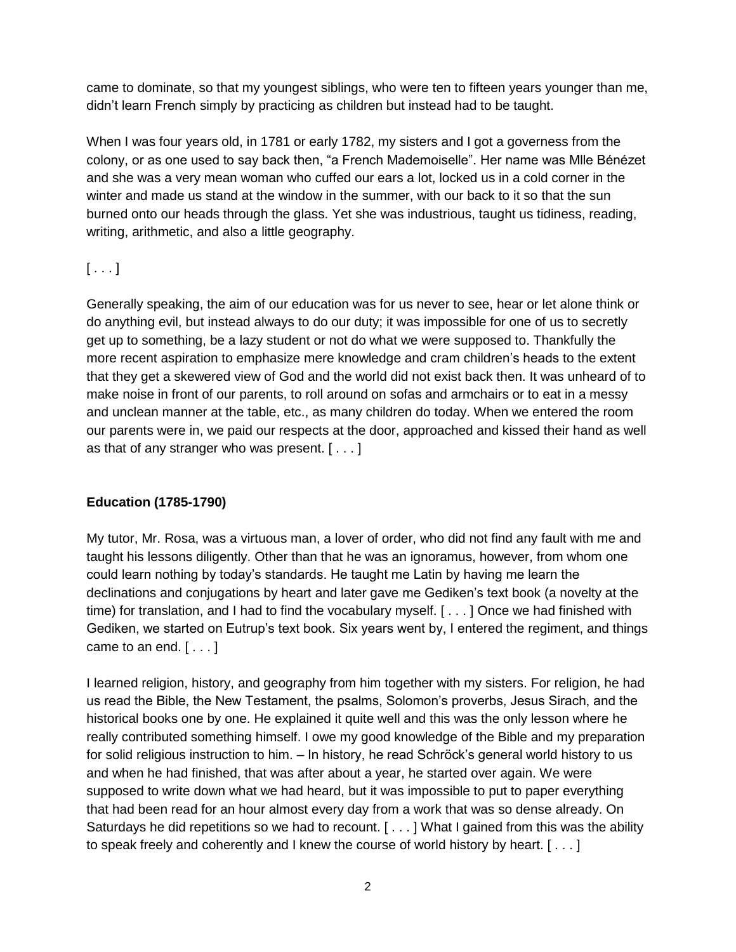came to dominate, so that my youngest siblings, who were ten to fifteen years younger than me, didn't learn French simply by practicing as children but instead had to be taught.

When I was four years old, in 1781 or early 1782, my sisters and I got a governess from the colony, or as one used to say back then, "a French Mademoiselle". Her name was Mlle Bénézet and she was a very mean woman who cuffed our ears a lot, locked us in a cold corner in the winter and made us stand at the window in the summer, with our back to it so that the sun burned onto our heads through the glass. Yet she was industrious, taught us tidiness, reading, writing, arithmetic, and also a little geography.

# $[...]$

Generally speaking, the aim of our education was for us never to see, hear or let alone think or do anything evil, but instead always to do our duty; it was impossible for one of us to secretly get up to something, be a lazy student or not do what we were supposed to. Thankfully the more recent aspiration to emphasize mere knowledge and cram children's heads to the extent that they get a skewered view of God and the world did not exist back then. It was unheard of to make noise in front of our parents, to roll around on sofas and armchairs or to eat in a messy and unclean manner at the table, etc., as many children do today. When we entered the room our parents were in, we paid our respects at the door, approached and kissed their hand as well as that of any stranger who was present. [ . . . ]

## **Education (1785-1790)**

My tutor, Mr. Rosa, was a virtuous man, a lover of order, who did not find any fault with me and taught his lessons diligently. Other than that he was an ignoramus, however, from whom one could learn nothing by today's standards. He taught me Latin by having me learn the declinations and conjugations by heart and later gave me Gediken's text book (a novelty at the time) for translation, and I had to find the vocabulary myself. [ . . . ] Once we had finished with Gediken, we started on Eutrup's text book. Six years went by, I entered the regiment, and things came to an end.  $[ \ldots ]$ 

I learned religion, history, and geography from him together with my sisters. For religion, he had us read the Bible, the New Testament, the psalms, Solomon's proverbs, Jesus Sirach, and the historical books one by one. He explained it quite well and this was the only lesson where he really contributed something himself. I owe my good knowledge of the Bible and my preparation for solid religious instruction to him. – In history, he read Schröck's general world history to us and when he had finished, that was after about a year, he started over again. We were supposed to write down what we had heard, but it was impossible to put to paper everything that had been read for an hour almost every day from a work that was so dense already. On Saturdays he did repetitions so we had to recount. [ . . . ] What I gained from this was the ability to speak freely and coherently and I knew the course of world history by heart. [ . . . ]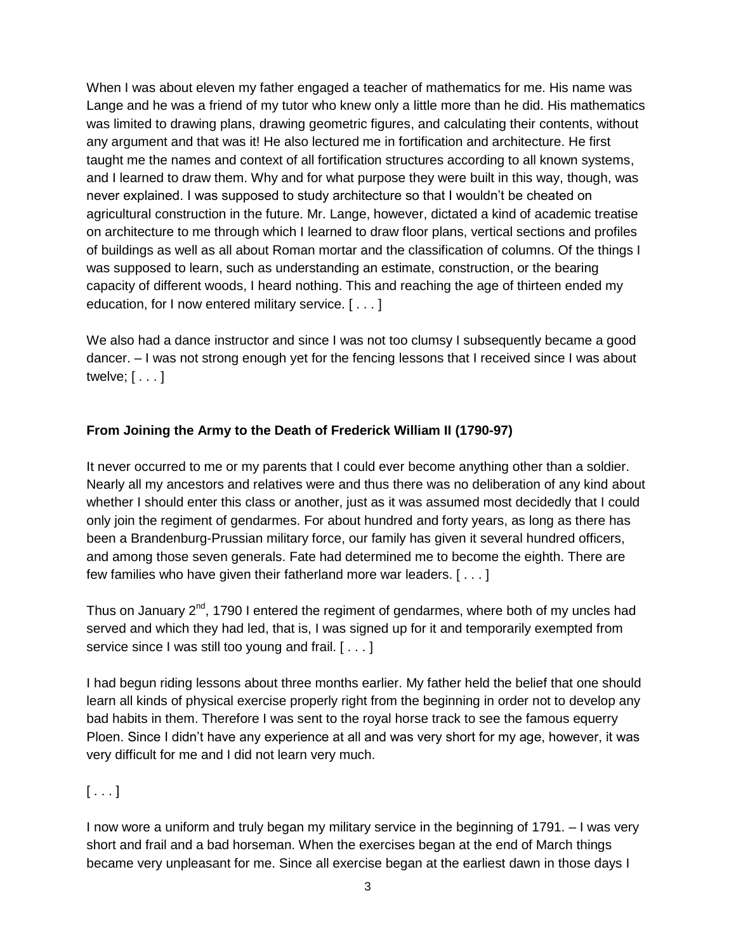When I was about eleven my father engaged a teacher of mathematics for me. His name was Lange and he was a friend of my tutor who knew only a little more than he did. His mathematics was limited to drawing plans, drawing geometric figures, and calculating their contents, without any argument and that was it! He also lectured me in fortification and architecture. He first taught me the names and context of all fortification structures according to all known systems, and I learned to draw them. Why and for what purpose they were built in this way, though, was never explained. I was supposed to study architecture so that I wouldn't be cheated on agricultural construction in the future. Mr. Lange, however, dictated a kind of academic treatise on architecture to me through which I learned to draw floor plans, vertical sections and profiles of buildings as well as all about Roman mortar and the classification of columns. Of the things I was supposed to learn, such as understanding an estimate, construction, or the bearing capacity of different woods, I heard nothing. This and reaching the age of thirteen ended my education, for I now entered military service. [ . . . ]

We also had a dance instructor and since I was not too clumsy I subsequently became a good dancer. – I was not strong enough yet for the fencing lessons that I received since I was about twelve; [ . . . ]

#### **From Joining the Army to the Death of Frederick William II (1790-97)**

It never occurred to me or my parents that I could ever become anything other than a soldier. Nearly all my ancestors and relatives were and thus there was no deliberation of any kind about whether I should enter this class or another, just as it was assumed most decidedly that I could only join the regiment of gendarmes. For about hundred and forty years, as long as there has been a Brandenburg-Prussian military force, our family has given it several hundred officers, and among those seven generals. Fate had determined me to become the eighth. There are few families who have given their fatherland more war leaders. [ . . . ]

Thus on January  $2<sup>nd</sup>$ , 1790 I entered the regiment of gendarmes, where both of my uncles had served and which they had led, that is, I was signed up for it and temporarily exempted from service since I was still too young and frail. [...]

I had begun riding lessons about three months earlier. My father held the belief that one should learn all kinds of physical exercise properly right from the beginning in order not to develop any bad habits in them. Therefore I was sent to the royal horse track to see the famous equerry Ploen. Since I didn't have any experience at all and was very short for my age, however, it was very difficult for me and I did not learn very much.

## $[\ldots]$

I now wore a uniform and truly began my military service in the beginning of 1791. – I was very short and frail and a bad horseman. When the exercises began at the end of March things became very unpleasant for me. Since all exercise began at the earliest dawn in those days I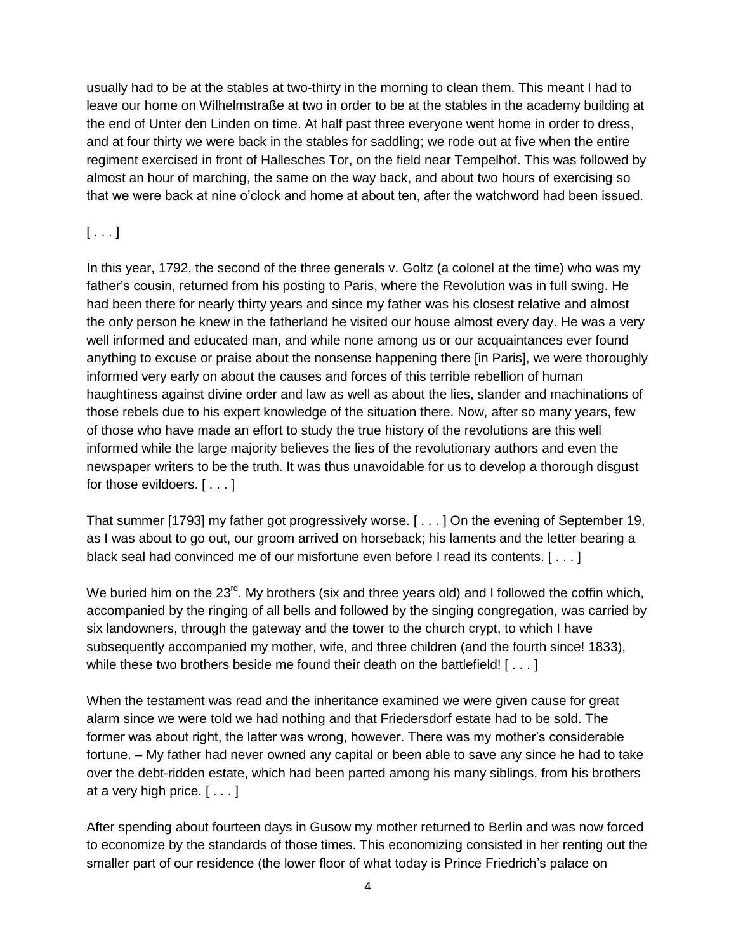usually had to be at the stables at two-thirty in the morning to clean them. This meant I had to leave our home on Wilhelmstraße at two in order to be at the stables in the academy building at the end of Unter den Linden on time. At half past three everyone went home in order to dress, and at four thirty we were back in the stables for saddling; we rode out at five when the entire regiment exercised in front of Hallesches Tor, on the field near Tempelhof. This was followed by almost an hour of marching, the same on the way back, and about two hours of exercising so that we were back at nine o'clock and home at about ten, after the watchword had been issued.

## $[...]$

In this year, 1792, the second of the three generals v. Goltz (a colonel at the time) who was my father's cousin, returned from his posting to Paris, where the Revolution was in full swing. He had been there for nearly thirty years and since my father was his closest relative and almost the only person he knew in the fatherland he visited our house almost every day. He was a very well informed and educated man, and while none among us or our acquaintances ever found anything to excuse or praise about the nonsense happening there [in Paris], we were thoroughly informed very early on about the causes and forces of this terrible rebellion of human haughtiness against divine order and law as well as about the lies, slander and machinations of those rebels due to his expert knowledge of the situation there. Now, after so many years, few of those who have made an effort to study the true history of the revolutions are this well informed while the large majority believes the lies of the revolutionary authors and even the newspaper writers to be the truth. It was thus unavoidable for us to develop a thorough disgust for those evildoers. [ . . . ]

That summer [1793] my father got progressively worse. [ . . . ] On the evening of September 19, as I was about to go out, our groom arrived on horseback; his laments and the letter bearing a black seal had convinced me of our misfortune even before I read its contents. [ . . . ]

We buried him on the  $23^{\text{rd}}$ . My brothers (six and three years old) and I followed the coffin which, accompanied by the ringing of all bells and followed by the singing congregation, was carried by six landowners, through the gateway and the tower to the church crypt, to which I have subsequently accompanied my mother, wife, and three children (and the fourth since! 1833), while these two brothers beside me found their death on the battlefield! [...]

When the testament was read and the inheritance examined we were given cause for great alarm since we were told we had nothing and that Friedersdorf estate had to be sold. The former was about right, the latter was wrong, however. There was my mother's considerable fortune. – My father had never owned any capital or been able to save any since he had to take over the debt-ridden estate, which had been parted among his many siblings, from his brothers at a very high price. [ . . . ]

After spending about fourteen days in Gusow my mother returned to Berlin and was now forced to economize by the standards of those times. This economizing consisted in her renting out the smaller part of our residence (the lower floor of what today is Prince Friedrich's palace on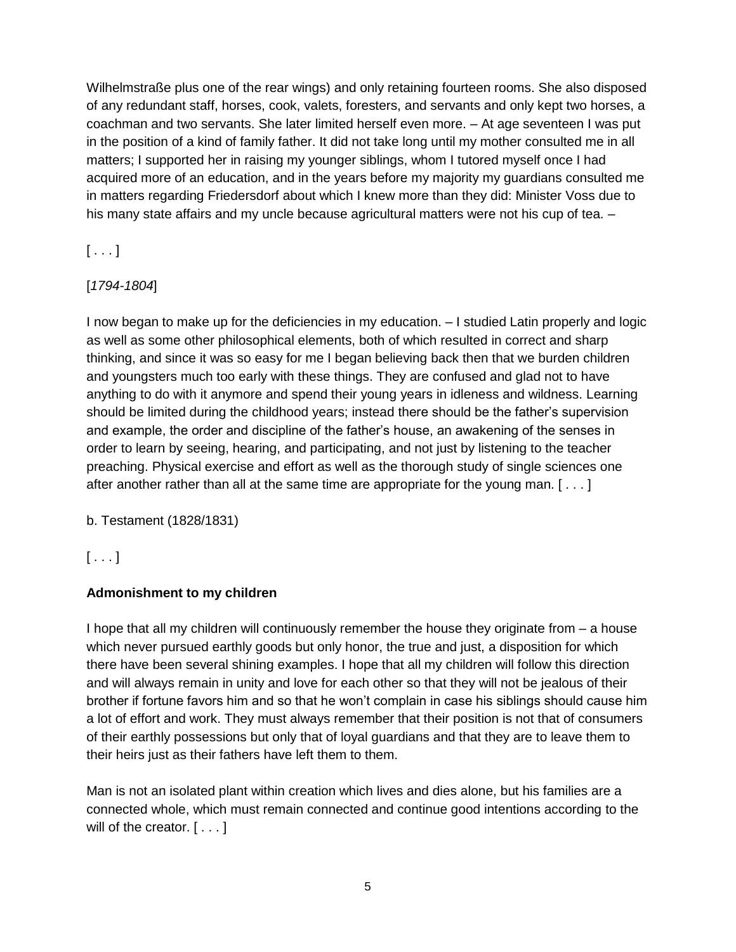Wilhelmstraße plus one of the rear wings) and only retaining fourteen rooms. She also disposed of any redundant staff, horses, cook, valets, foresters, and servants and only kept two horses, a coachman and two servants. She later limited herself even more. – At age seventeen I was put in the position of a kind of family father. It did not take long until my mother consulted me in all matters; I supported her in raising my younger siblings, whom I tutored myself once I had acquired more of an education, and in the years before my majority my guardians consulted me in matters regarding Friedersdorf about which I knew more than they did: Minister Voss due to his many state affairs and my uncle because agricultural matters were not his cup of tea. -

 $[\ldots]$ 

# [*1794-1804*]

I now began to make up for the deficiencies in my education. – I studied Latin properly and logic as well as some other philosophical elements, both of which resulted in correct and sharp thinking, and since it was so easy for me I began believing back then that we burden children and youngsters much too early with these things. They are confused and glad not to have anything to do with it anymore and spend their young years in idleness and wildness. Learning should be limited during the childhood years; instead there should be the father's supervision and example, the order and discipline of the father's house, an awakening of the senses in order to learn by seeing, hearing, and participating, and not just by listening to the teacher preaching. Physical exercise and effort as well as the thorough study of single sciences one after another rather than all at the same time are appropriate for the young man. [ . . . ]

b. Testament (1828/1831)

 $[ \ldots ]$ 

# **Admonishment to my children**

I hope that all my children will continuously remember the house they originate from – a house which never pursued earthly goods but only honor, the true and just, a disposition for which there have been several shining examples. I hope that all my children will follow this direction and will always remain in unity and love for each other so that they will not be jealous of their brother if fortune favors him and so that he won't complain in case his siblings should cause him a lot of effort and work. They must always remember that their position is not that of consumers of their earthly possessions but only that of loyal guardians and that they are to leave them to their heirs just as their fathers have left them to them.

Man is not an isolated plant within creation which lives and dies alone, but his families are a connected whole, which must remain connected and continue good intentions according to the will of the creator. [...]